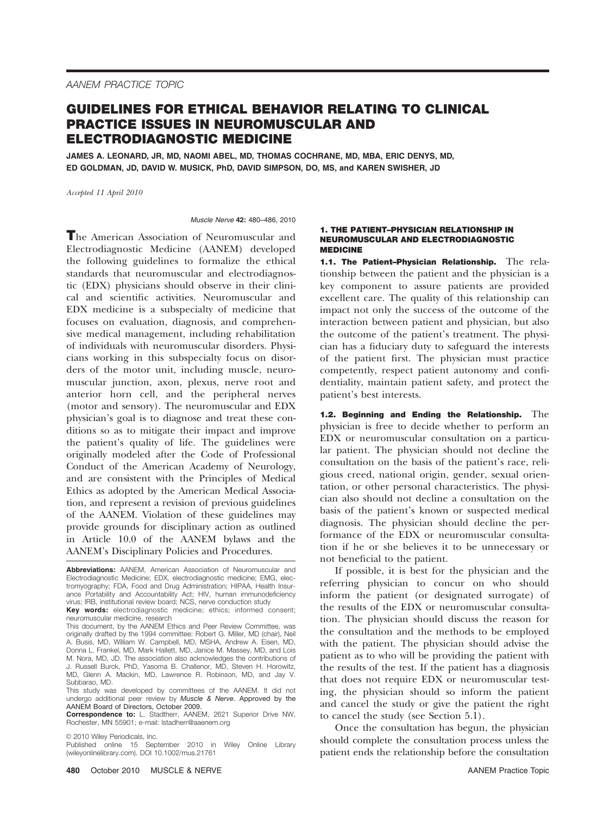# GUIDELINES FOR ETHICAL BEHAVIOR RELATING TO CLINICAL PRACTICE ISSUES IN NEUROMUSCULAR AND ELECTRODIAGNOSTIC MEDICINE

JAMES A. LEONARD, JR, MD, NAOMI ABEL, MD, THOMAS COCHRANE, MD, MBA, ERIC DENYS, MD, ED GOLDMAN, JD, DAVID W. MUSICK, PhD, DAVID SIMPSON, DO, MS, and KAREN SWISHER, JD

Accepted 11 April 2010

Muscle Nerve 42: 480–486, 2010

The American Association of Neuromuscular and Electrodiagnostic Medicine (AANEM) developed the following guidelines to formalize the ethical standards that neuromuscular and electrodiagnostic (EDX) physicians should observe in their clinical and scientific activities. Neuromuscular and EDX medicine is a subspecialty of medicine that focuses on evaluation, diagnosis, and comprehensive medical management, including rehabilitation of individuals with neuromuscular disorders. Physicians working in this subspecialty focus on disorders of the motor unit, including muscle, neuromuscular junction, axon, plexus, nerve root and anterior horn cell, and the peripheral nerves (motor and sensory). The neuromuscular and EDX physician's goal is to diagnose and treat these conditions so as to mitigate their impact and improve the patient's quality of life. The guidelines were originally modeled after the Code of Professional Conduct of the American Academy of Neurology, and are consistent with the Principles of Medical Ethics as adopted by the American Medical Association, and represent a revision of previous guidelines of the AANEM. Violation of these guidelines may provide grounds for disciplinary action as outlined in Article 10.0 of the AANEM bylaws and the AANEM's Disciplinary Policies and Procedures.

This study was developed by committees of the AANEM. It did not undergo additional peer review by Muscle & Nerve. Approved by the AANEM Board of Directors, October 2009.

Correspondence to: L. Stadtherr, AANEM, 2621 Superior Drive NW, Rochester, MN 55901; e-mail: lstadherr@aaenem.org

© 2010 Wiley Periodicals, Inc.<br>Published online 15 September 2010 in Wiley Online Library (wileyonlinelibrary.com). DOI 10.1002/mus.21761

#### 1. THE PATIENT–PHYSICIAN RELATIONSHIP IN NEUROMUSCULAR AND ELECTRODIAGNOSTIC MEDICINE

1.1. The Patient–Physician Relationship. The relationship between the patient and the physician is a key component to assure patients are provided excellent care. The quality of this relationship can impact not only the success of the outcome of the interaction between patient and physician, but also the outcome of the patient's treatment. The physician has a fiduciary duty to safeguard the interests of the patient first. The physician must practice competently, respect patient autonomy and confidentiality, maintain patient safety, and protect the patient's best interests.

1.2. Beginning and Ending the Relationship. The physician is free to decide whether to perform an EDX or neuromuscular consultation on a particular patient. The physician should not decline the consultation on the basis of the patient's race, religious creed, national origin, gender, sexual orientation, or other personal characteristics. The physician also should not decline a consultation on the basis of the patient's known or suspected medical diagnosis. The physician should decline the performance of the EDX or neuromuscular consultation if he or she believes it to be unnecessary or not beneficial to the patient.

If possible, it is best for the physician and the referring physician to concur on who should inform the patient (or designated surrogate) of the results of the EDX or neuromuscular consultation. The physician should discuss the reason for the consultation and the methods to be employed with the patient. The physician should advise the patient as to who will be providing the patient with the results of the test. If the patient has a diagnosis that does not require EDX or neuromuscular testing, the physician should so inform the patient and cancel the study or give the patient the right to cancel the study (see Section 5.1).

Once the consultation has begun, the physician should complete the consultation process unless the patient ends the relationship before the consultation

Abbreviations: AANEM, American Association of Neuromuscular and Electrodiagnostic Medicine; EDX, electrodiagnostic medicine; EMG, electromyography; FDA, Food and Drug Administration; HIPAA, Health Insurance Portability and Accountability Act; HIV, human immunodeficiency virus; IRB, institutional review board; NCS, nerve conduction study

Key words: electrodiagnostic medicine; ethics; informed consent; neuromuscular medicine, research

This document, by the AANEM Ethics and Peer Review Committee, was originally drafted by the 1994 committee: Robert G. Miller, MD (chair), Neil A. Busis, MD, William W. Campbell, MD, MSHA, Andrew A. Eisen, MD, Donna L. Frankel, MD, Mark Hallett, MD, Janice M. Massey, MD, and Lois M. Nora, MD, JD. The association also acknowledges the contributions of J. Russell Burck, PhD, Yasoma B. Challenor, MD, Steven H. Horowitz, MD, Glenn A. Mackin, MD, Lawrence R. Robinson, MD, and Jay V. Subbarao, MD.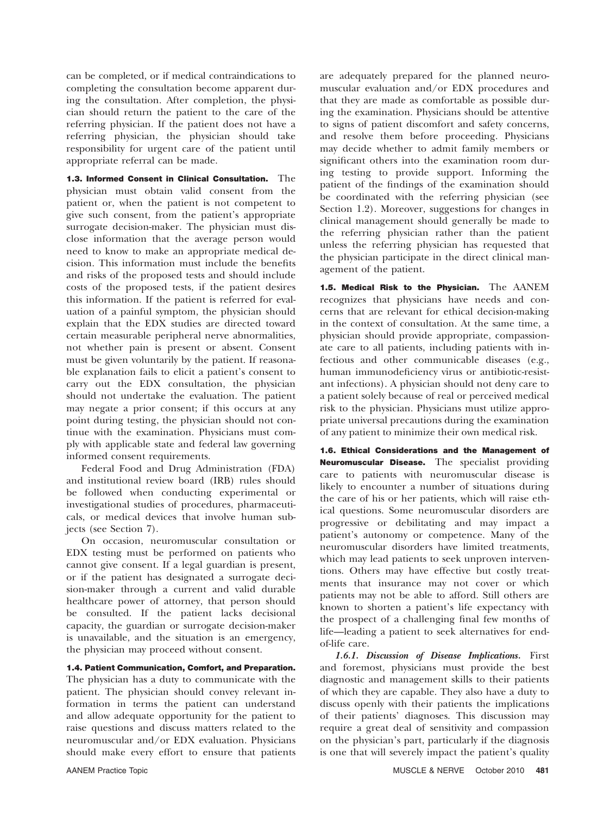can be completed, or if medical contraindications to completing the consultation become apparent during the consultation. After completion, the physician should return the patient to the care of the referring physician. If the patient does not have a referring physician, the physician should take responsibility for urgent care of the patient until appropriate referral can be made.

1.3. Informed Consent in Clinical Consultation. The physician must obtain valid consent from the patient or, when the patient is not competent to give such consent, from the patient's appropriate surrogate decision-maker. The physician must disclose information that the average person would need to know to make an appropriate medical decision. This information must include the benefits and risks of the proposed tests and should include costs of the proposed tests, if the patient desires this information. If the patient is referred for evaluation of a painful symptom, the physician should explain that the EDX studies are directed toward certain measurable peripheral nerve abnormalities, not whether pain is present or absent. Consent must be given voluntarily by the patient. If reasonable explanation fails to elicit a patient's consent to carry out the EDX consultation, the physician should not undertake the evaluation. The patient may negate a prior consent; if this occurs at any point during testing, the physician should not continue with the examination. Physicians must comply with applicable state and federal law governing informed consent requirements.

Federal Food and Drug Administration (FDA) and institutional review board (IRB) rules should be followed when conducting experimental or investigational studies of procedures, pharmaceuticals, or medical devices that involve human subjects (see Section 7).

On occasion, neuromuscular consultation or EDX testing must be performed on patients who cannot give consent. If a legal guardian is present, or if the patient has designated a surrogate decision-maker through a current and valid durable healthcare power of attorney, that person should be consulted. If the patient lacks decisional capacity, the guardian or surrogate decision-maker is unavailable, and the situation is an emergency, the physician may proceed without consent.

### 1.4. Patient Communication, Comfort, and Preparation.

The physician has a duty to communicate with the patient. The physician should convey relevant information in terms the patient can understand and allow adequate opportunity for the patient to raise questions and discuss matters related to the neuromuscular and/or EDX evaluation. Physicians should make every effort to ensure that patients are adequately prepared for the planned neuromuscular evaluation and/or EDX procedures and that they are made as comfortable as possible during the examination. Physicians should be attentive to signs of patient discomfort and safety concerns, and resolve them before proceeding. Physicians may decide whether to admit family members or significant others into the examination room during testing to provide support. Informing the patient of the findings of the examination should be coordinated with the referring physician (see Section 1.2). Moreover, suggestions for changes in clinical management should generally be made to the referring physician rather than the patient unless the referring physician has requested that the physician participate in the direct clinical management of the patient.

1.5. Medical Risk to the Physician. The AANEM recognizes that physicians have needs and concerns that are relevant for ethical decision-making in the context of consultation. At the same time, a physician should provide appropriate, compassionate care to all patients, including patients with infectious and other communicable diseases (e.g., human immunodeficiency virus or antibiotic-resistant infections). A physician should not deny care to a patient solely because of real or perceived medical risk to the physician. Physicians must utilize appropriate universal precautions during the examination of any patient to minimize their own medical risk.

1.6. Ethical Considerations and the Management of Neuromuscular Disease. The specialist providing care to patients with neuromuscular disease is likely to encounter a number of situations during the care of his or her patients, which will raise ethical questions. Some neuromuscular disorders are progressive or debilitating and may impact a patient's autonomy or competence. Many of the neuromuscular disorders have limited treatments, which may lead patients to seek unproven interventions. Others may have effective but costly treatments that insurance may not cover or which patients may not be able to afford. Still others are known to shorten a patient's life expectancy with the prospect of a challenging final few months of life—leading a patient to seek alternatives for endof-life care.

1.6.1. Discussion of Disease Implications. First and foremost, physicians must provide the best diagnostic and management skills to their patients of which they are capable. They also have a duty to discuss openly with their patients the implications of their patients' diagnoses. This discussion may require a great deal of sensitivity and compassion on the physician's part, particularly if the diagnosis is one that will severely impact the patient's quality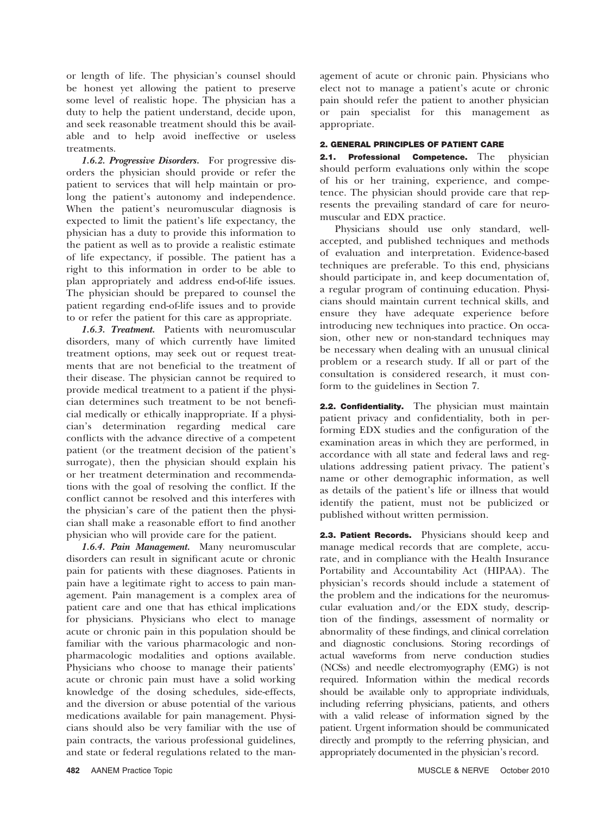or length of life. The physician's counsel should be honest yet allowing the patient to preserve some level of realistic hope. The physician has a duty to help the patient understand, decide upon, and seek reasonable treatment should this be available and to help avoid ineffective or useless treatments.

1.6.2. Progressive Disorders. For progressive disorders the physician should provide or refer the patient to services that will help maintain or prolong the patient's autonomy and independence. When the patient's neuromuscular diagnosis is expected to limit the patient's life expectancy, the physician has a duty to provide this information to the patient as well as to provide a realistic estimate of life expectancy, if possible. The patient has a right to this information in order to be able to plan appropriately and address end-of-life issues. The physician should be prepared to counsel the patient regarding end-of-life issues and to provide to or refer the patient for this care as appropriate.

1.6.3. Treatment. Patients with neuromuscular disorders, many of which currently have limited treatment options, may seek out or request treatments that are not beneficial to the treatment of their disease. The physician cannot be required to provide medical treatment to a patient if the physician determines such treatment to be not beneficial medically or ethically inappropriate. If a physician's determination regarding medical care conflicts with the advance directive of a competent patient (or the treatment decision of the patient's surrogate), then the physician should explain his or her treatment determination and recommendations with the goal of resolving the conflict. If the conflict cannot be resolved and this interferes with the physician's care of the patient then the physician shall make a reasonable effort to find another physician who will provide care for the patient.

1.6.4. Pain Management. Many neuromuscular disorders can result in significant acute or chronic pain for patients with these diagnoses. Patients in pain have a legitimate right to access to pain management. Pain management is a complex area of patient care and one that has ethical implications for physicians. Physicians who elect to manage acute or chronic pain in this population should be familiar with the various pharmacologic and nonpharmacologic modalities and options available. Physicians who choose to manage their patients' acute or chronic pain must have a solid working knowledge of the dosing schedules, side-effects, and the diversion or abuse potential of the various medications available for pain management. Physicians should also be very familiar with the use of pain contracts, the various professional guidelines, and state or federal regulations related to the management of acute or chronic pain. Physicians who elect not to manage a patient's acute or chronic pain should refer the patient to another physician or pain specialist for this management as appropriate.

### 2. GENERAL PRINCIPLES OF PATIENT CARE

2.1. Professional Competence. The physician should perform evaluations only within the scope of his or her training, experience, and competence. The physician should provide care that represents the prevailing standard of care for neuromuscular and EDX practice.

Physicians should use only standard, wellaccepted, and published techniques and methods of evaluation and interpretation. Evidence-based techniques are preferable. To this end, physicians should participate in, and keep documentation of, a regular program of continuing education. Physicians should maintain current technical skills, and ensure they have adequate experience before introducing new techniques into practice. On occasion, other new or non-standard techniques may be necessary when dealing with an unusual clinical problem or a research study. If all or part of the consultation is considered research, it must conform to the guidelines in Section 7.

2.2. Confidentiality. The physician must maintain patient privacy and confidentiality, both in performing EDX studies and the configuration of the examination areas in which they are performed, in accordance with all state and federal laws and regulations addressing patient privacy. The patient's name or other demographic information, as well as details of the patient's life or illness that would identify the patient, must not be publicized or published without written permission.

2.3. Patient Records. Physicians should keep and manage medical records that are complete, accurate, and in compliance with the Health Insurance Portability and Accountability Act (HIPAA). The physician's records should include a statement of the problem and the indications for the neuromuscular evaluation and/or the EDX study, description of the findings, assessment of normality or abnormality of these findings, and clinical correlation and diagnostic conclusions. Storing recordings of actual waveforms from nerve conduction studies (NCSs) and needle electromyography (EMG) is not required. Information within the medical records should be available only to appropriate individuals, including referring physicians, patients, and others with a valid release of information signed by the patient. Urgent information should be communicated directly and promptly to the referring physician, and appropriately documented in the physician's record.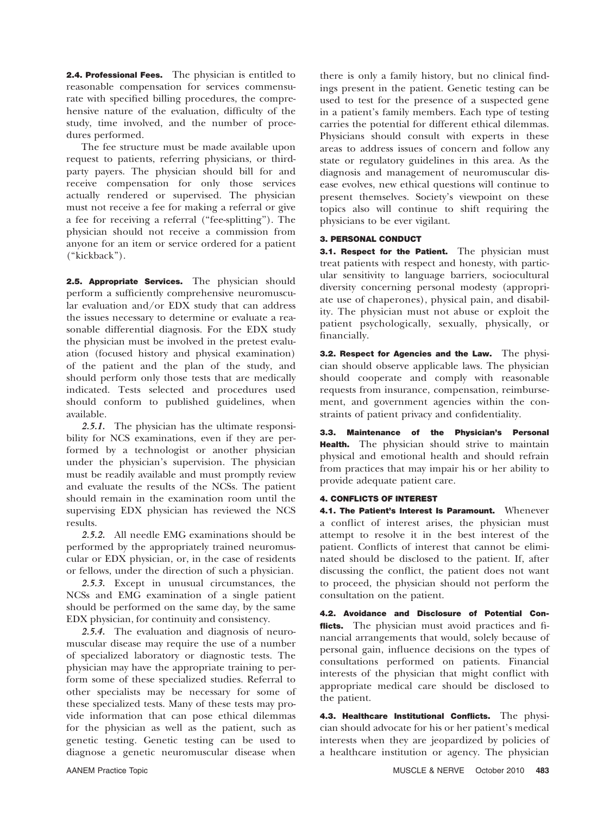2.4. Professional Fees. The physician is entitled to reasonable compensation for services commensurate with specified billing procedures, the comprehensive nature of the evaluation, difficulty of the study, time involved, and the number of procedures performed.

The fee structure must be made available upon request to patients, referring physicians, or thirdparty payers. The physician should bill for and receive compensation for only those services actually rendered or supervised. The physician must not receive a fee for making a referral or give a fee for receiving a referral (''fee-splitting''). The physician should not receive a commission from anyone for an item or service ordered for a patient (''kickback'').

2.5. Appropriate Services. The physician should perform a sufficiently comprehensive neuromuscular evaluation and/or EDX study that can address the issues necessary to determine or evaluate a reasonable differential diagnosis. For the EDX study the physician must be involved in the pretest evaluation (focused history and physical examination) of the patient and the plan of the study, and should perform only those tests that are medically indicated. Tests selected and procedures used should conform to published guidelines, when available.

2.5.1. The physician has the ultimate responsibility for NCS examinations, even if they are performed by a technologist or another physician under the physician's supervision. The physician must be readily available and must promptly review and evaluate the results of the NCSs. The patient should remain in the examination room until the supervising EDX physician has reviewed the NCS results.

2.5.2. All needle EMG examinations should be performed by the appropriately trained neuromuscular or EDX physician, or, in the case of residents or fellows, under the direction of such a physician.

2.5.3. Except in unusual circumstances, the NCSs and EMG examination of a single patient should be performed on the same day, by the same EDX physician, for continuity and consistency.

2.5.4. The evaluation and diagnosis of neuromuscular disease may require the use of a number of specialized laboratory or diagnostic tests. The physician may have the appropriate training to perform some of these specialized studies. Referral to other specialists may be necessary for some of these specialized tests. Many of these tests may provide information that can pose ethical dilemmas for the physician as well as the patient, such as genetic testing. Genetic testing can be used to diagnose a genetic neuromuscular disease when

there is only a family history, but no clinical findings present in the patient. Genetic testing can be used to test for the presence of a suspected gene in a patient's family members. Each type of testing carries the potential for different ethical dilemmas. Physicians should consult with experts in these areas to address issues of concern and follow any state or regulatory guidelines in this area. As the diagnosis and management of neuromuscular disease evolves, new ethical questions will continue to present themselves. Society's viewpoint on these topics also will continue to shift requiring the physicians to be ever vigilant.

## 3. PERSONAL CONDUCT

3.1. Respect for the Patient. The physician must treat patients with respect and honesty, with particular sensitivity to language barriers, sociocultural diversity concerning personal modesty (appropriate use of chaperones), physical pain, and disability. The physician must not abuse or exploit the patient psychologically, sexually, physically, or financially.

3.2. Respect for Agencies and the Law. The physician should observe applicable laws. The physician should cooperate and comply with reasonable requests from insurance, compensation, reimbursement, and government agencies within the constraints of patient privacy and confidentiality.

3.3. Maintenance of the Physician's Personal Health. The physician should strive to maintain physical and emotional health and should refrain from practices that may impair his or her ability to provide adequate patient care.

## 4. CONFLICTS OF INTEREST

4.1. The Patient's Interest Is Paramount. Whenever a conflict of interest arises, the physician must attempt to resolve it in the best interest of the patient. Conflicts of interest that cannot be eliminated should be disclosed to the patient. If, after discussing the conflict, the patient does not want to proceed, the physician should not perform the consultation on the patient.

4.2. Avoidance and Disclosure of Potential Conflicts. The physician must avoid practices and financial arrangements that would, solely because of personal gain, influence decisions on the types of consultations performed on patients. Financial interests of the physician that might conflict with appropriate medical care should be disclosed to the patient.

4.3. Healthcare Institutional Conflicts. The physician should advocate for his or her patient's medical interests when they are jeopardized by policies of a healthcare institution or agency. The physician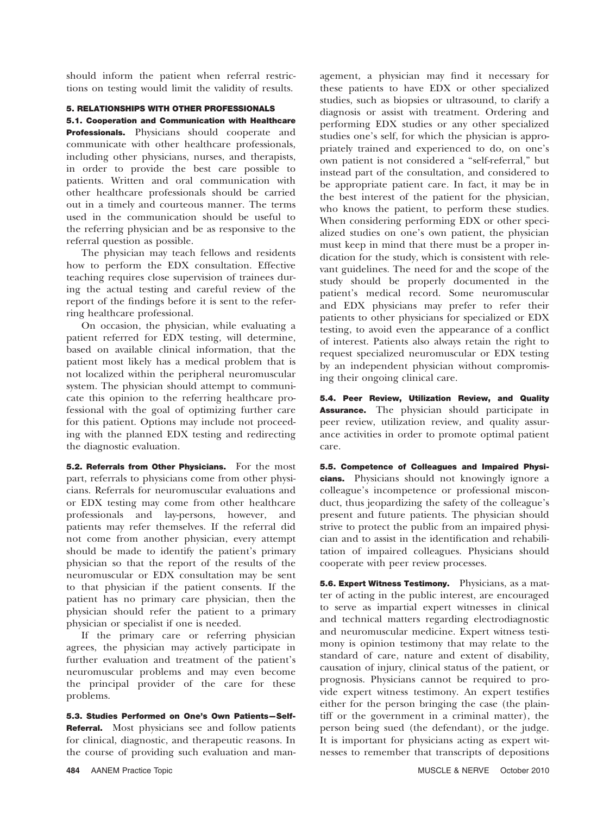should inform the patient when referral restrictions on testing would limit the validity of results.

# 5. RELATIONSHIPS WITH OTHER PROFESSIONALS

5.1. Cooperation and Communication with Healthcare **Professionals.** Physicians should cooperate and communicate with other healthcare professionals, including other physicians, nurses, and therapists, in order to provide the best care possible to patients. Written and oral communication with other healthcare professionals should be carried out in a timely and courteous manner. The terms used in the communication should be useful to the referring physician and be as responsive to the referral question as possible.

The physician may teach fellows and residents how to perform the EDX consultation. Effective teaching requires close supervision of trainees during the actual testing and careful review of the report of the findings before it is sent to the referring healthcare professional.

On occasion, the physician, while evaluating a patient referred for EDX testing, will determine, based on available clinical information, that the patient most likely has a medical problem that is not localized within the peripheral neuromuscular system. The physician should attempt to communicate this opinion to the referring healthcare professional with the goal of optimizing further care for this patient. Options may include not proceeding with the planned EDX testing and redirecting the diagnostic evaluation.

5.2. Referrals from Other Physicians. For the most part, referrals to physicians come from other physicians. Referrals for neuromuscular evaluations and or EDX testing may come from other healthcare professionals and lay-persons, however, and patients may refer themselves. If the referral did not come from another physician, every attempt should be made to identify the patient's primary physician so that the report of the results of the neuromuscular or EDX consultation may be sent to that physician if the patient consents. If the patient has no primary care physician, then the physician should refer the patient to a primary physician or specialist if one is needed.

If the primary care or referring physician agrees, the physician may actively participate in further evaluation and treatment of the patient's neuromuscular problems and may even become the principal provider of the care for these problems.

5.3. Studies Performed on One's Own Patients—Self-Referral. Most physicians see and follow patients for clinical, diagnostic, and therapeutic reasons. In the course of providing such evaluation and man-

agement, a physician may find it necessary for these patients to have EDX or other specialized studies, such as biopsies or ultrasound, to clarify a diagnosis or assist with treatment. Ordering and performing EDX studies or any other specialized studies one's self, for which the physician is appropriately trained and experienced to do, on one's own patient is not considered a ''self-referral,'' but instead part of the consultation, and considered to be appropriate patient care. In fact, it may be in the best interest of the patient for the physician, who knows the patient, to perform these studies. When considering performing EDX or other specialized studies on one's own patient, the physician must keep in mind that there must be a proper indication for the study, which is consistent with relevant guidelines. The need for and the scope of the study should be properly documented in the patient's medical record. Some neuromuscular and EDX physicians may prefer to refer their patients to other physicians for specialized or EDX testing, to avoid even the appearance of a conflict of interest. Patients also always retain the right to request specialized neuromuscular or EDX testing by an independent physician without compromising their ongoing clinical care.

5.4. Peer Review, Utilization Review, and Quality **Assurance.** The physician should participate in peer review, utilization review, and quality assurance activities in order to promote optimal patient care.

5.5. Competence of Colleagues and Impaired Physicians. Physicians should not knowingly ignore a colleague's incompetence or professional misconduct, thus jeopardizing the safety of the colleague's present and future patients. The physician should strive to protect the public from an impaired physician and to assist in the identification and rehabilitation of impaired colleagues. Physicians should cooperate with peer review processes.

5.6. Expert Witness Testimony. Physicians, as a matter of acting in the public interest, are encouraged to serve as impartial expert witnesses in clinical and technical matters regarding electrodiagnostic and neuromuscular medicine. Expert witness testimony is opinion testimony that may relate to the standard of care, nature and extent of disability, causation of injury, clinical status of the patient, or prognosis. Physicians cannot be required to provide expert witness testimony. An expert testifies either for the person bringing the case (the plaintiff or the government in a criminal matter), the person being sued (the defendant), or the judge. It is important for physicians acting as expert witnesses to remember that transcripts of depositions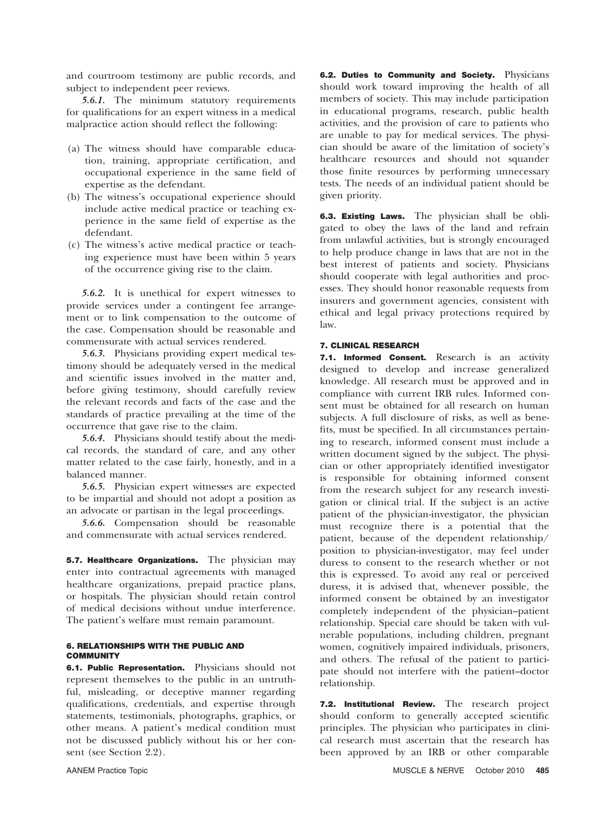and courtroom testimony are public records, and subject to independent peer reviews.

5.6.1. The minimum statutory requirements for qualifications for an expert witness in a medical malpractice action should reflect the following:

- (a) The witness should have comparable education, training, appropriate certification, and occupational experience in the same field of expertise as the defendant.
- (b) The witness's occupational experience should include active medical practice or teaching experience in the same field of expertise as the defendant.
- (c) The witness's active medical practice or teaching experience must have been within 5 years of the occurrence giving rise to the claim.

5.6.2. It is unethical for expert witnesses to provide services under a contingent fee arrangement or to link compensation to the outcome of the case. Compensation should be reasonable and commensurate with actual services rendered.

5.6.3. Physicians providing expert medical testimony should be adequately versed in the medical and scientific issues involved in the matter and, before giving testimony, should carefully review the relevant records and facts of the case and the standards of practice prevailing at the time of the occurrence that gave rise to the claim.

5.6.4. Physicians should testify about the medical records, the standard of care, and any other matter related to the case fairly, honestly, and in a balanced manner.

5.6.5. Physician expert witnesses are expected to be impartial and should not adopt a position as an advocate or partisan in the legal proceedings.

5.6.6. Compensation should be reasonable and commensurate with actual services rendered.

5.7. Healthcare Organizations. The physician may enter into contractual agreements with managed healthcare organizations, prepaid practice plans, or hospitals. The physician should retain control of medical decisions without undue interference. The patient's welfare must remain paramount.

### 6. RELATIONSHIPS WITH THE PUBLIC AND **COMMUNITY**

6.1. Public Representation. Physicians should not represent themselves to the public in an untruthful, misleading, or deceptive manner regarding qualifications, credentials, and expertise through statements, testimonials, photographs, graphics, or other means. A patient's medical condition must not be discussed publicly without his or her consent (see Section 2.2).

6.2. Duties to Community and Society. Physicians should work toward improving the health of all members of society. This may include participation in educational programs, research, public health activities, and the provision of care to patients who are unable to pay for medical services. The physician should be aware of the limitation of society's healthcare resources and should not squander those finite resources by performing unnecessary tests. The needs of an individual patient should be given priority.

6.3. Existing Laws. The physician shall be obligated to obey the laws of the land and refrain from unlawful activities, but is strongly encouraged to help produce change in laws that are not in the best interest of patients and society. Physicians should cooperate with legal authorities and processes. They should honor reasonable requests from insurers and government agencies, consistent with ethical and legal privacy protections required by law.

# 7. CLINICAL RESEARCH

7.1. Informed Consent. Research is an activity designed to develop and increase generalized knowledge. All research must be approved and in compliance with current IRB rules. Informed consent must be obtained for all research on human subjects. A full disclosure of risks, as well as benefits, must be specified. In all circumstances pertaining to research, informed consent must include a written document signed by the subject. The physician or other appropriately identified investigator is responsible for obtaining informed consent from the research subject for any research investigation or clinical trial. If the subject is an active patient of the physician-investigator, the physician must recognize there is a potential that the patient, because of the dependent relationship/ position to physician-investigator, may feel under duress to consent to the research whether or not this is expressed. To avoid any real or perceived duress, it is advised that, whenever possible, the informed consent be obtained by an investigator completely independent of the physician–patient relationship. Special care should be taken with vulnerable populations, including children, pregnant women, cognitively impaired individuals, prisoners, and others. The refusal of the patient to participate should not interfere with the patient–doctor relationship.

7.2. Institutional Review. The research project should conform to generally accepted scientific principles. The physician who participates in clinical research must ascertain that the research has been approved by an IRB or other comparable